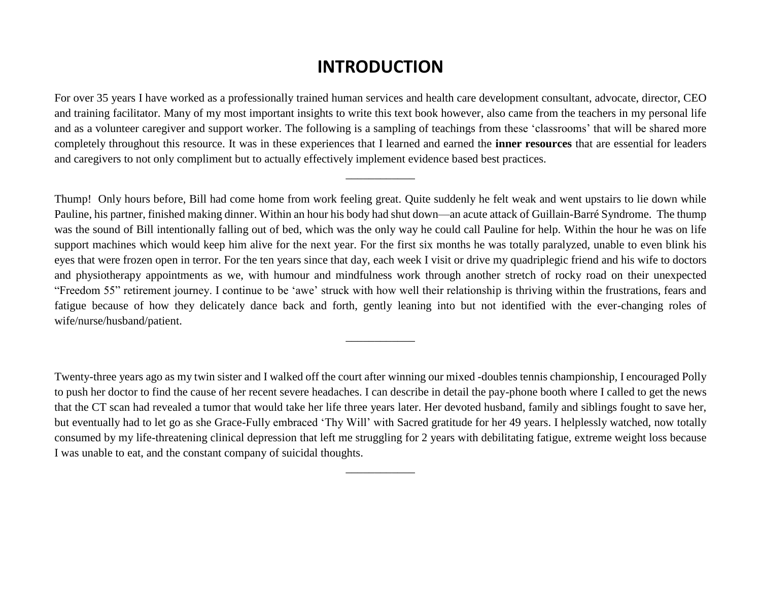## **INTRODUCTION**

For over 35 years I have worked as a professionally trained human services and health care development consultant, advocate, director, CEO and training facilitator. Many of my most important insights to write this text book however, also came from the teachers in my personal life and as a volunteer caregiver and support worker. The following is a sampling of teachings from these 'classrooms' that will be shared more completely throughout this resource. It was in these experiences that I learned and earned the **inner resources** that are essential for leaders and caregivers to not only compliment but to actually effectively implement evidence based best practices.

\_\_\_\_\_\_\_\_\_\_\_\_

Thump! Only hours before, Bill had come home from work feeling great. Quite suddenly he felt weak and went upstairs to lie down while Pauline, his partner, finished making dinner. Within an hour his body had shut down—an acute attack of Guillain-Barré Syndrome. The thump was the sound of Bill intentionally falling out of bed, which was the only way he could call Pauline for help. Within the hour he was on life support machines which would keep him alive for the next year. For the first six months he was totally paralyzed, unable to even blink his eyes that were frozen open in terror. For the ten years since that day, each week I visit or drive my quadriplegic friend and his wife to doctors and physiotherapy appointments as we, with humour and mindfulness work through another stretch of rocky road on their unexpected "Freedom 55" retirement journey. I continue to be 'awe' struck with how well their relationship is thriving within the frustrations, fears and fatigue because of how they delicately dance back and forth, gently leaning into but not identified with the ever-changing roles of wife/nurse/husband/patient.

\_\_\_\_\_\_\_\_\_\_\_\_

Twenty-three years ago as my twin sister and I walked off the court after winning our mixed -doubles tennis championship, I encouraged Polly to push her doctor to find the cause of her recent severe headaches. I can describe in detail the pay-phone booth where I called to get the news that the CT scan had revealed a tumor that would take her life three years later. Her devoted husband, family and siblings fought to save her, but eventually had to let go as she Grace-Fully embraced 'Thy Will' with Sacred gratitude for her 49 years. I helplessly watched, now totally consumed by my life-threatening clinical depression that left me struggling for 2 years with debilitating fatigue, extreme weight loss because I was unable to eat, and the constant company of suicidal thoughts.

\_\_\_\_\_\_\_\_\_\_\_\_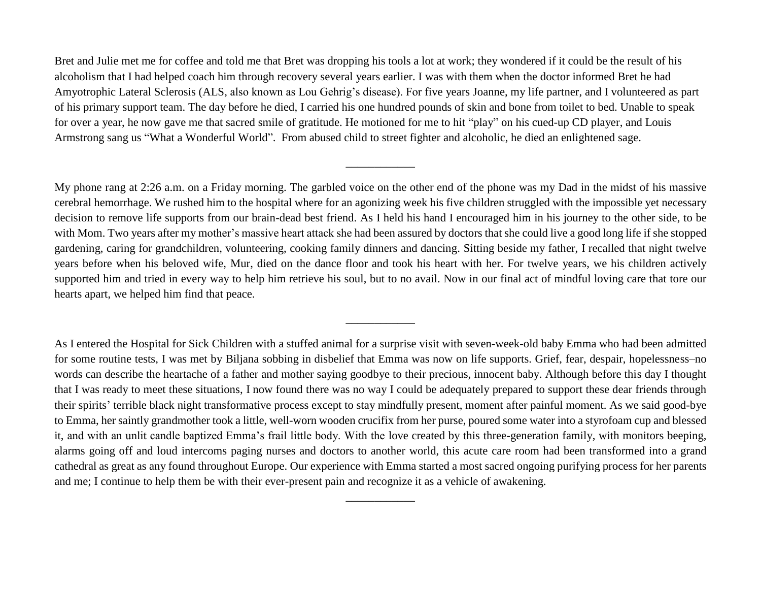Bret and Julie met me for coffee and told me that Bret was dropping his tools a lot at work; they wondered if it could be the result of his alcoholism that I had helped coach him through recovery several years earlier. I was with them when the doctor informed Bret he had Amyotrophic Lateral Sclerosis (ALS, also known as Lou Gehrig's disease). For five years Joanne, my life partner, and I volunteered as part of his primary support team. The day before he died, I carried his one hundred pounds of skin and bone from toilet to bed. Unable to speak for over a year, he now gave me that sacred smile of gratitude. He motioned for me to hit "play" on his cued-up CD player, and Louis Armstrong sang us "What a Wonderful World". From abused child to street fighter and alcoholic, he died an enlightened sage.

\_\_\_\_\_\_\_\_\_\_\_\_

My phone rang at 2:26 a.m. on a Friday morning. The garbled voice on the other end of the phone was my Dad in the midst of his massive cerebral hemorrhage. We rushed him to the hospital where for an agonizing week his five children struggled with the impossible yet necessary decision to remove life supports from our brain-dead best friend. As I held his hand I encouraged him in his journey to the other side, to be with Mom. Two years after my mother's massive heart attack she had been assured by doctors that she could live a good long life if she stopped gardening, caring for grandchildren, volunteering, cooking family dinners and dancing. Sitting beside my father, I recalled that night twelve years before when his beloved wife, Mur, died on the dance floor and took his heart with her. For twelve years, we his children actively supported him and tried in every way to help him retrieve his soul, but to no avail. Now in our final act of mindful loving care that tore our hearts apart, we helped him find that peace.

\_\_\_\_\_\_\_\_\_\_\_\_

As I entered the Hospital for Sick Children with a stuffed animal for a surprise visit with seven-week-old baby Emma who had been admitted for some routine tests, I was met by Biljana sobbing in disbelief that Emma was now on life supports. Grief, fear, despair, hopelessness–no words can describe the heartache of a father and mother saying goodbye to their precious, innocent baby. Although before this day I thought that I was ready to meet these situations, I now found there was no way I could be adequately prepared to support these dear friends through their spirits' terrible black night transformative process except to stay mindfully present, moment after painful moment. As we said good-bye to Emma, her saintly grandmother took a little, well-worn wooden crucifix from her purse, poured some water into a styrofoam cup and blessed it, and with an unlit candle baptized Emma's frail little body. With the love created by this three-generation family, with monitors beeping, alarms going off and loud intercoms paging nurses and doctors to another world, this acute care room had been transformed into a grand cathedral as great as any found throughout Europe. Our experience with Emma started a most sacred ongoing purifying process for her parents and me; I continue to help them be with their ever-present pain and recognize it as a vehicle of awakening.

\_\_\_\_\_\_\_\_\_\_\_\_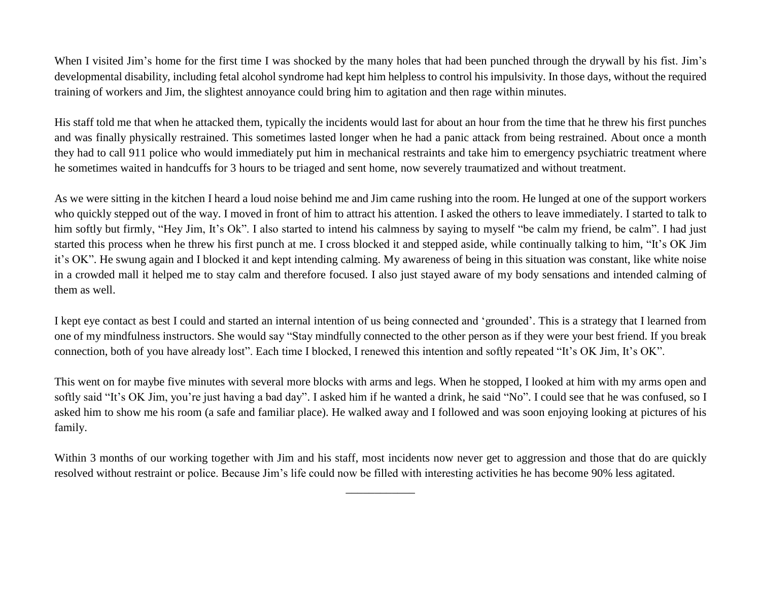When I visited Jim's home for the first time I was shocked by the many holes that had been punched through the drywall by his fist. Jim's developmental disability, including fetal alcohol syndrome had kept him helpless to control his impulsivity. In those days, without the required training of workers and Jim, the slightest annoyance could bring him to agitation and then rage within minutes.

His staff told me that when he attacked them, typically the incidents would last for about an hour from the time that he threw his first punches and was finally physically restrained. This sometimes lasted longer when he had a panic attack from being restrained. About once a month they had to call 911 police who would immediately put him in mechanical restraints and take him to emergency psychiatric treatment where he sometimes waited in handcuffs for 3 hours to be triaged and sent home, now severely traumatized and without treatment.

As we were sitting in the kitchen I heard a loud noise behind me and Jim came rushing into the room. He lunged at one of the support workers who quickly stepped out of the way. I moved in front of him to attract his attention. I asked the others to leave immediately. I started to talk to him softly but firmly, "Hey Jim, It's Ok". I also started to intend his calmness by saying to myself "be calm my friend, be calm". I had just started this process when he threw his first punch at me. I cross blocked it and stepped aside, while continually talking to him, "It's OK Jim it's OK". He swung again and I blocked it and kept intending calming. My awareness of being in this situation was constant, like white noise in a crowded mall it helped me to stay calm and therefore focused. I also just stayed aware of my body sensations and intended calming of them as well.

I kept eye contact as best I could and started an internal intention of us being connected and 'grounded'. This is a strategy that I learned from one of my mindfulness instructors. She would say "Stay mindfully connected to the other person as if they were your best friend. If you break connection, both of you have already lost". Each time I blocked, I renewed this intention and softly repeated "It's OK Jim, It's OK".

This went on for maybe five minutes with several more blocks with arms and legs. When he stopped, I looked at him with my arms open and softly said "It's OK Jim, you're just having a bad day". I asked him if he wanted a drink, he said "No". I could see that he was confused, so I asked him to show me his room (a safe and familiar place). He walked away and I followed and was soon enjoying looking at pictures of his family.

Within 3 months of our working together with Jim and his staff, most incidents now never get to aggression and those that do are quickly resolved without restraint or police. Because Jim's life could now be filled with interesting activities he has become 90% less agitated.

\_\_\_\_\_\_\_\_\_\_\_\_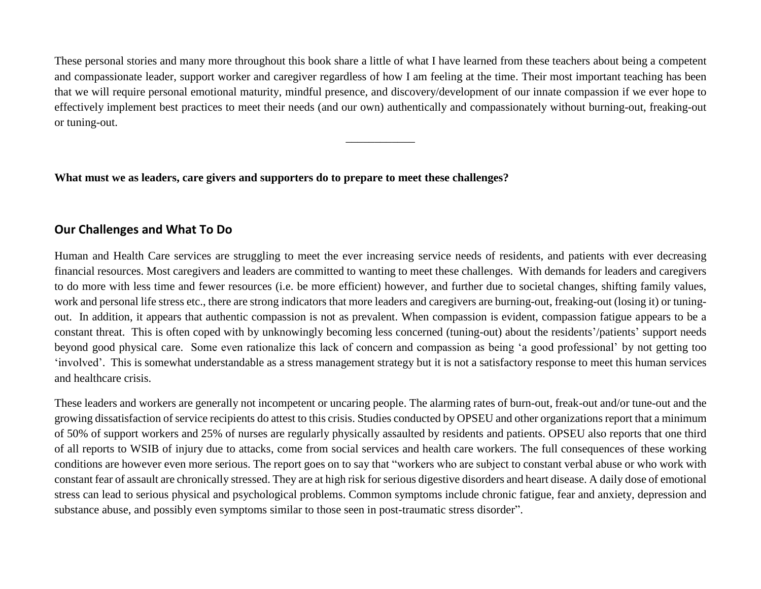These personal stories and many more throughout this book share a little of what I have learned from these teachers about being a competent and compassionate leader, support worker and caregiver regardless of how I am feeling at the time. Their most important teaching has been that we will require personal emotional maturity, mindful presence, and discovery/development of our innate compassion if we ever hope to effectively implement best practices to meet their needs (and our own) authentically and compassionately without burning-out, freaking-out or tuning-out.

\_\_\_\_\_\_\_\_\_\_\_\_

**What must we as leaders, care givers and supporters do to prepare to meet these challenges?**

## **Our Challenges and What To Do**

Human and Health Care services are struggling to meet the ever increasing service needs of residents, and patients with ever decreasing financial resources. Most caregivers and leaders are committed to wanting to meet these challenges. With demands for leaders and caregivers to do more with less time and fewer resources (i.e. be more efficient) however, and further due to societal changes, shifting family values, work and personal life stress etc., there are strong indicators that more leaders and caregivers are burning-out, freaking-out (losing it) or tuningout. In addition, it appears that authentic compassion is not as prevalent. When compassion is evident, compassion fatigue appears to be a constant threat. This is often coped with by unknowingly becoming less concerned (tuning-out) about the residents'/patients' support needs beyond good physical care. Some even rationalize this lack of concern and compassion as being 'a good professional' by not getting too 'involved'. This is somewhat understandable as a stress management strategy but it is not a satisfactory response to meet this human services and healthcare crisis.

These leaders and workers are generally not incompetent or uncaring people. The alarming rates of burn-out, freak-out and/or tune-out and the growing dissatisfaction of service recipients do attest to this crisis. Studies conducted by OPSEU and other organizations report that a minimum of 50% of support workers and 25% of nurses are regularly physically assaulted by residents and patients. OPSEU also reports that one third of all reports to WSIB of injury due to attacks, come from social services and health care workers. The full consequences of these working conditions are however even more serious. The report goes on to say that "workers who are subject to constant verbal abuse or who work with constant fear of assault are chronically stressed. They are at high risk for serious digestive disorders and heart disease. A daily dose of emotional stress can lead to serious physical and psychological problems. Common symptoms include chronic fatigue, fear and anxiety, depression and substance abuse, and possibly even symptoms similar to those seen in post-traumatic stress disorder".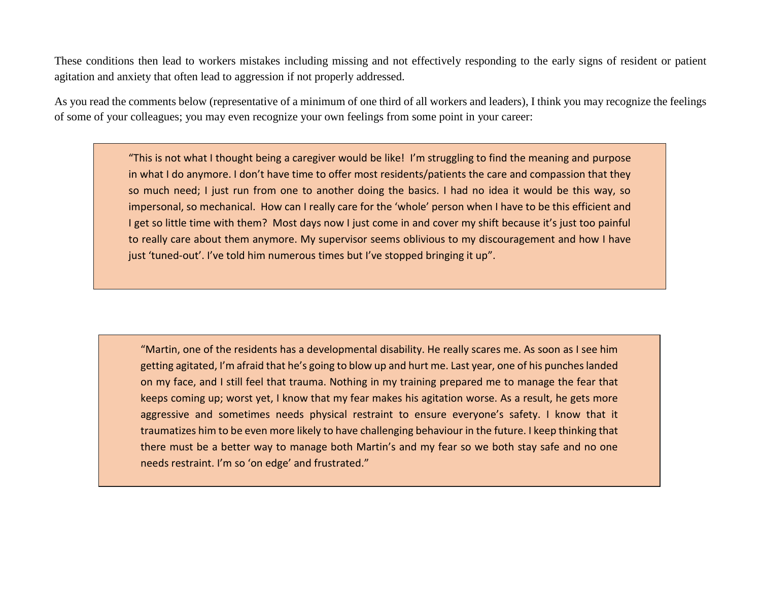These conditions then lead to workers mistakes including missing and not effectively responding to the early signs of resident or patient agitation and anxiety that often lead to aggression if not properly addressed.

As you read the comments below (representative of a minimum of one third of all workers and leaders), I think you may recognize the feelings of some of your colleagues; you may even recognize your own feelings from some point in your career:

> "This is not what I thought being a caregiver would be like! I'm struggling to find the meaning and purpose in what I do anymore. I don't have time to offer most residents/patients the care and compassion that they so much need; I just run from one to another doing the basics. I had no idea it would be this way, so impersonal, so mechanical. How can I really care for the 'whole' person when I have to be this efficient and I get so little time with them? Most days now I just come in and cover my shift because it's just too painful to really care about them anymore. My supervisor seems oblivious to my discouragement and how I have just 'tuned-out'. I've told him numerous times but I've stopped bringing it up".

"Martin, one of the residents has a developmental disability. He really scares me. As soon as I see him getting agitated, I'm afraid that he's going to blow up and hurt me. Last year, one of his punches landed on my face, and I still feel that trauma. Nothing in my training prepared me to manage the fear that keeps coming up; worst yet, I know that my fear makes his agitation worse. As a result, he gets more aggressive and sometimes needs physical restraint to ensure everyone's safety. I know that it traumatizes him to be even more likely to have challenging behaviour in the future. I keep thinking that there must be a better way to manage both Martin's and my fear so we both stay safe and no one needs restraint. I'm so 'on edge' and frustrated."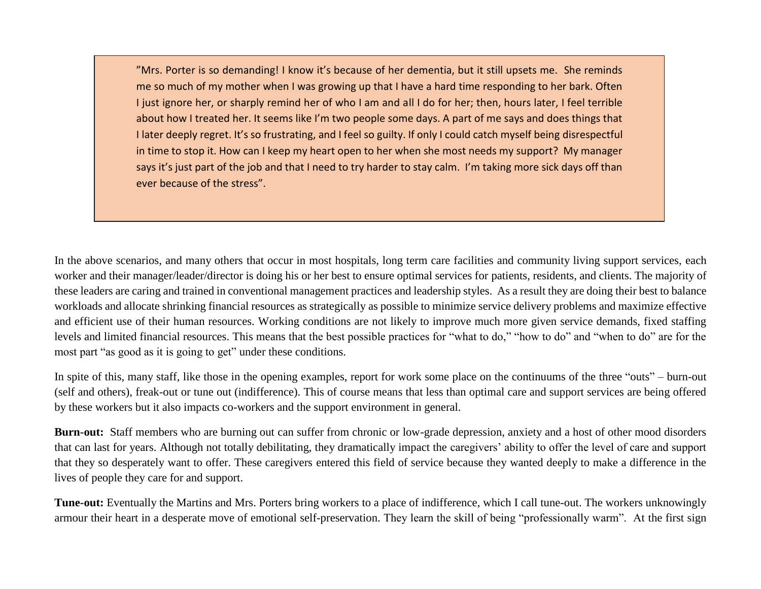"Mrs. Porter is so demanding! I know it's because of her dementia, but it still upsets me. She reminds me so much of my mother when I was growing up that I have a hard time responding to her bark. Often I just ignore her, or sharply remind her of who I am and all I do for her; then, hours later, I feel terrible about how I treated her. It seems like I'm two people some days. A part of me says and does things that I later deeply regret. It's so frustrating, and I feel so guilty. If only I could catch myself being disrespectful in time to stop it. How can I keep my heart open to her when she most needs my support? My manager says it's just part of the job and that I need to try harder to stay calm. I'm taking more sick days off than ever because of the stress".

In the above scenarios, and many others that occur in most hospitals, long term care facilities and community living support services, each worker and their manager/leader/director is doing his or her best to ensure optimal services for patients, residents, and clients. The majority of these leaders are caring and trained in conventional management practices and leadership styles. As a result they are doing their best to balance workloads and allocate shrinking financial resources as strategically as possible to minimize service delivery problems and maximize effective and efficient use of their human resources. Working conditions are not likely to improve much more given service demands, fixed staffing levels and limited financial resources. This means that the best possible practices for "what to do," "how to do" and "when to do" are for the most part "as good as it is going to get" under these conditions.

In spite of this, many staff, like those in the opening examples, report for work some place on the continuums of the three "outs" – burn-out (self and others), freak-out or tune out (indifference). This of course means that less than optimal care and support services are being offered by these workers but it also impacts co-workers and the support environment in general.

**Burn-out:** Staff members who are burning out can suffer from chronic or low-grade depression, anxiety and a host of other mood disorders that can last for years. Although not totally debilitating, they dramatically impact the caregivers' ability to offer the level of care and support that they so desperately want to offer. These caregivers entered this field of service because they wanted deeply to make a difference in the lives of people they care for and support.

**Tune-out:** Eventually the Martins and Mrs. Porters bring workers to a place of indifference, which I call tune-out. The workers unknowingly armour their heart in a desperate move of emotional self-preservation. They learn the skill of being "professionally warm". At the first sign